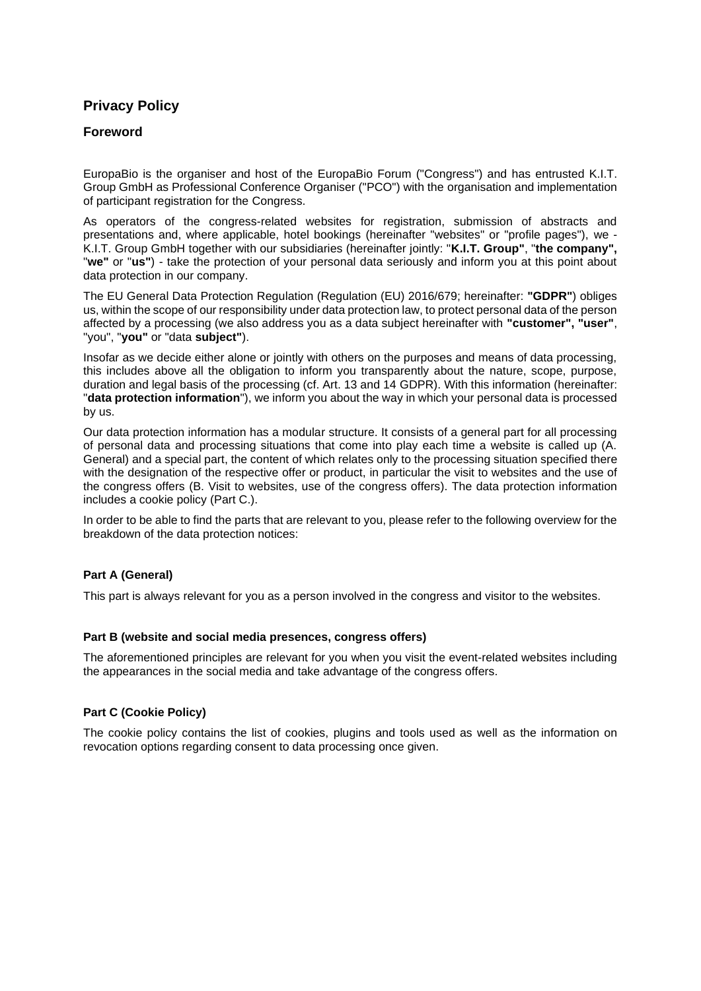# **Privacy Policy**

## **Foreword**

EuropaBio is the organiser and host of the EuropaBio Forum ("Congress") and has entrusted K.I.T. Group GmbH as Professional Conference Organiser ("PCO") with the organisation and implementation of participant registration for the Congress.

As operators of the congress-related websites for registration, submission of abstracts and presentations and, where applicable, hotel bookings (hereinafter "websites" or "profile pages"), we - K.I.T. Group GmbH together with our subsidiaries (hereinafter jointly: "**K.I.T. Group"**, "**the company",**  "**we"** or "**us"**) - take the protection of your personal data seriously and inform you at this point about data protection in our company.

The EU General Data Protection Regulation (Regulation (EU) 2016/679; hereinafter: **"GDPR"**) obliges us, within the scope of our responsibility under data protection law, to protect personal data of the person affected by a processing (we also address you as a data subject hereinafter with **"customer", "user"**, "you", "**you"** or "data **subject"**).

Insofar as we decide either alone or jointly with others on the purposes and means of data processing, this includes above all the obligation to inform you transparently about the nature, scope, purpose, duration and legal basis of the processing (cf. Art. 13 and 14 GDPR). With this information (hereinafter: "**data protection information**"), we inform you about the way in which your personal data is processed by us.

Our data protection information has a modular structure. It consists of a general part for all processing of personal data and processing situations that come into play each time a website is called up (A. General) and a special part, the content of which relates only to the processing situation specified there with the designation of the respective offer or product, in particular the visit to websites and the use of the congress offers (B. Visit to websites, use of the congress offers). The data protection information includes a cookie policy (Part C.).

In order to be able to find the parts that are relevant to you, please refer to the following overview for the breakdown of the data protection notices:

### **Part A (General)**

This part is always relevant for you as a person involved in the congress and visitor to the websites.

### **Part B (website and social media presences, congress offers)**

The aforementioned principles are relevant for you when you visit the event-related websites including the appearances in the social media and take advantage of the congress offers.

### **Part C (Cookie Policy)**

The cookie policy contains the list of cookies, plugins and tools used as well as the information on revocation options regarding consent to data processing once given.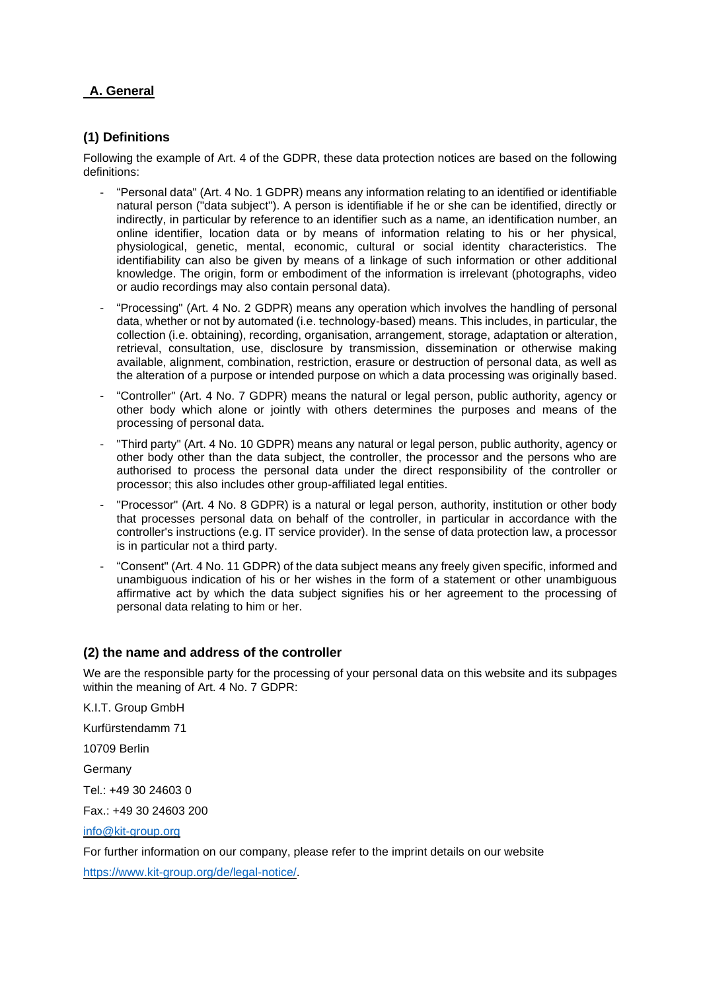# **A. General**

## **(1) Definitions**

Following the example of Art. 4 of the GDPR, these data protection notices are based on the following definitions:

- "Personal data" (Art. 4 No. 1 GDPR) means any information relating to an identified or identifiable natural person ("data subject"). A person is identifiable if he or she can be identified, directly or indirectly, in particular by reference to an identifier such as a name, an identification number, an online identifier, location data or by means of information relating to his or her physical, physiological, genetic, mental, economic, cultural or social identity characteristics. The identifiability can also be given by means of a linkage of such information or other additional knowledge. The origin, form or embodiment of the information is irrelevant (photographs, video or audio recordings may also contain personal data).
- "Processing" (Art. 4 No. 2 GDPR) means any operation which involves the handling of personal data, whether or not by automated (i.e. technology-based) means. This includes, in particular, the collection (i.e. obtaining), recording, organisation, arrangement, storage, adaptation or alteration, retrieval, consultation, use, disclosure by transmission, dissemination or otherwise making available, alignment, combination, restriction, erasure or destruction of personal data, as well as the alteration of a purpose or intended purpose on which a data processing was originally based.
- "Controller" (Art. 4 No. 7 GDPR) means the natural or legal person, public authority, agency or other body which alone or jointly with others determines the purposes and means of the processing of personal data.
- "Third party" (Art. 4 No. 10 GDPR) means any natural or legal person, public authority, agency or other body other than the data subject, the controller, the processor and the persons who are authorised to process the personal data under the direct responsibility of the controller or processor; this also includes other group-affiliated legal entities.
- "Processor" (Art. 4 No. 8 GDPR) is a natural or legal person, authority, institution or other body that processes personal data on behalf of the controller, in particular in accordance with the controller's instructions (e.g. IT service provider). In the sense of data protection law, a processor is in particular not a third party.
- "Consent" (Art. 4 No. 11 GDPR) of the data subject means any freely given specific, informed and unambiguous indication of his or her wishes in the form of a statement or other unambiguous affirmative act by which the data subject signifies his or her agreement to the processing of personal data relating to him or her.

### **(2) the name and address of the controller**

We are the responsible party for the processing of your personal data on this website and its subpages within the meaning of Art. 4 No. 7 GDPR:

K.I.T. Group GmbH Kurfürstendamm 71 10709 Berlin Germany Tel.: +49 30 24603 0 Fax.: +49 30 24603 200 [info@kit-group.org](mailto:info@kit-group.org)

For further information on our company, please refer to the imprint details on our website [https://www.kit-group.org/de/legal-notice/.](https://www.kit-group.org/de/legal-notice/)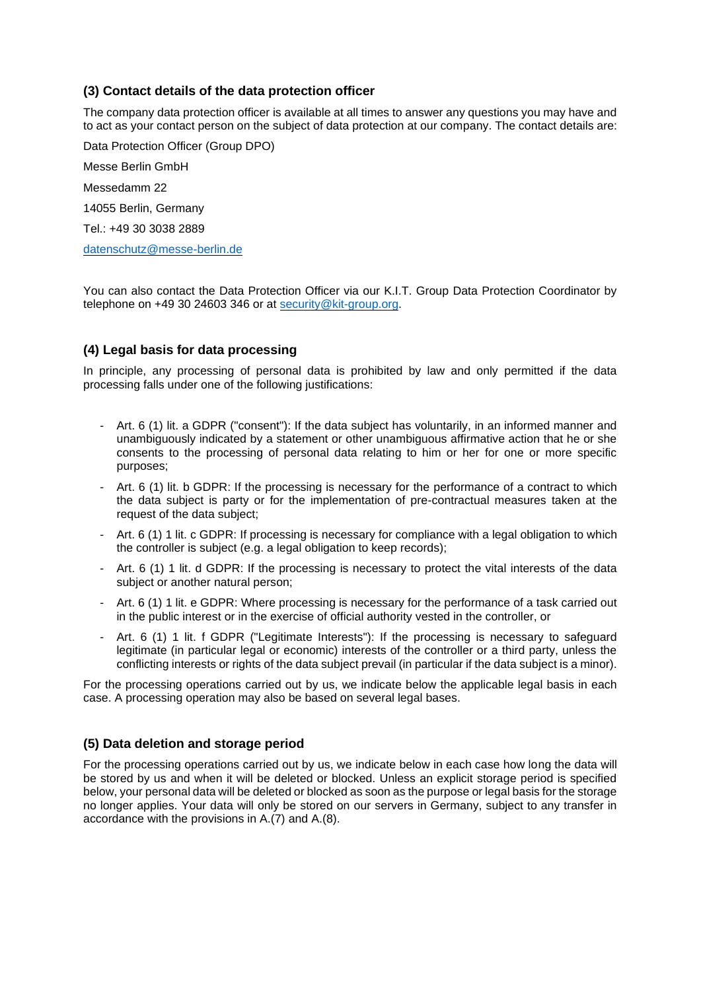# **(3) Contact details of the data protection officer**

The company data protection officer is available at all times to answer any questions you may have and to act as your contact person on the subject of data protection at our company. The contact details are:

Data Protection Officer (Group DPO) Messe Berlin GmbH Messedamm 22 14055 Berlin, Germany Tel.: +49 30 3038 2889 [datenschutz@messe-berlin.de](mailto:datenschutz@messe-berlin.de)

You can also contact the Data Protection Officer via our K.I.T. Group Data Protection Coordinator by telephone on +49 30 24603 346 or at [security@kit-group.org.](mailto:security@kit-group.org)

# **(4) Legal basis for data processing**

In principle, any processing of personal data is prohibited by law and only permitted if the data processing falls under one of the following justifications:

- Art. 6 (1) lit. a GDPR ("consent"): If the data subject has voluntarily, in an informed manner and unambiguously indicated by a statement or other unambiguous affirmative action that he or she consents to the processing of personal data relating to him or her for one or more specific purposes;
- Art. 6 (1) lit. b GDPR: If the processing is necessary for the performance of a contract to which the data subject is party or for the implementation of pre-contractual measures taken at the request of the data subject;
- Art. 6 (1) 1 lit. c GDPR: If processing is necessary for compliance with a legal obligation to which the controller is subject (e.g. a legal obligation to keep records);
- Art. 6 (1) 1 lit. d GDPR: If the processing is necessary to protect the vital interests of the data subject or another natural person;
- Art. 6 (1) 1 lit. e GDPR: Where processing is necessary for the performance of a task carried out in the public interest or in the exercise of official authority vested in the controller, or
- Art. 6 (1) 1 lit. f GDPR ("Legitimate Interests"): If the processing is necessary to safeguard legitimate (in particular legal or economic) interests of the controller or a third party, unless the conflicting interests or rights of the data subject prevail (in particular if the data subject is a minor).

For the processing operations carried out by us, we indicate below the applicable legal basis in each case. A processing operation may also be based on several legal bases.

# **(5) Data deletion and storage period**

For the processing operations carried out by us, we indicate below in each case how long the data will be stored by us and when it will be deleted or blocked. Unless an explicit storage period is specified below, your personal data will be deleted or blocked as soon as the purpose or legal basis for the storage no longer applies. Your data will only be stored on our servers in Germany, subject to any transfer in accordance with the provisions in A.(7) and A.(8).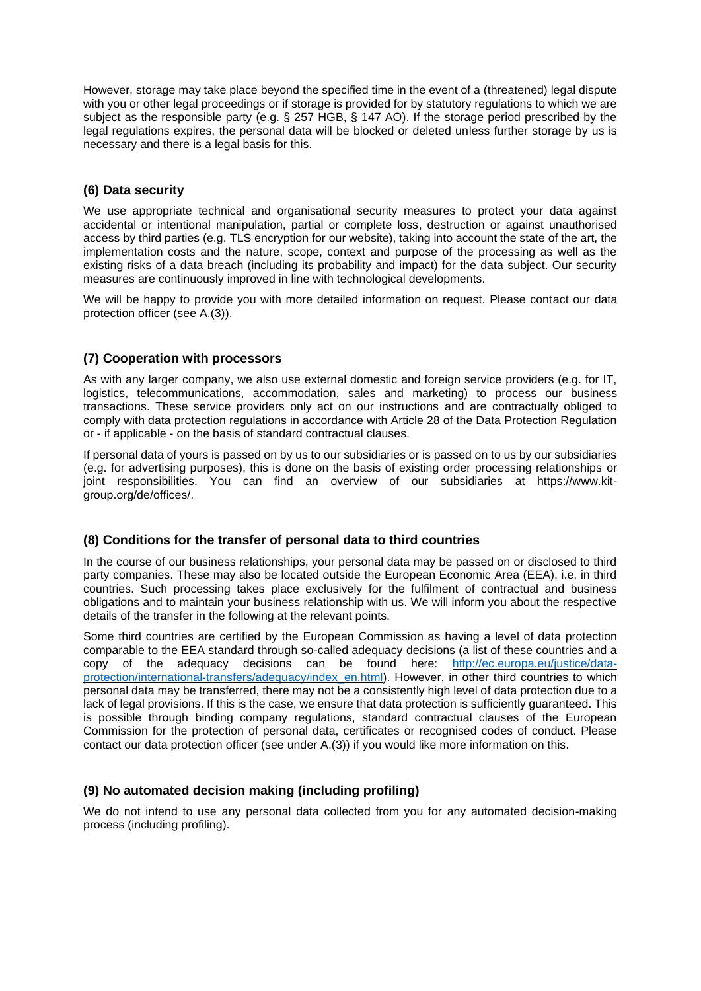However, storage may take place beyond the specified time in the event of a (threatened) legal dispute with you or other legal proceedings or if storage is provided for by statutory regulations to which we are subject as the responsible party (e.g. § 257 HGB, § 147 AO). If the storage period prescribed by the legal regulations expires, the personal data will be blocked or deleted unless further storage by us is necessary and there is a legal basis for this.

## **(6) Data security**

We use appropriate technical and organisational security measures to protect your data against accidental or intentional manipulation, partial or complete loss, destruction or against unauthorised access by third parties (e.g. TLS encryption for our website), taking into account the state of the art, the implementation costs and the nature, scope, context and purpose of the processing as well as the existing risks of a data breach (including its probability and impact) for the data subject. Our security measures are continuously improved in line with technological developments.

We will be happy to provide you with more detailed information on request. Please contact our data protection officer (see A.(3)).

# **(7) Cooperation with processors**

As with any larger company, we also use external domestic and foreign service providers (e.g. for IT, logistics, telecommunications, accommodation, sales and marketing) to process our business transactions. These service providers only act on our instructions and are contractually obliged to comply with data protection regulations in accordance with Article 28 of the Data Protection Regulation or - if applicable - on the basis of standard contractual clauses.

If personal data of yours is passed on by us to our subsidiaries or is passed on to us by our subsidiaries (e.g. for advertising purposes), this is done on the basis of existing order processing relationships or joint responsibilities. You can find an overview of our subsidiaries at https://www.kitgroup.org/de/offices/.

### **(8) Conditions for the transfer of personal data to third countries**

In the course of our business relationships, your personal data may be passed on or disclosed to third party companies. These may also be located outside the European Economic Area (EEA), i.e. in third countries. Such processing takes place exclusively for the fulfilment of contractual and business obligations and to maintain your business relationship with us. We will inform you about the respective details of the transfer in the following at the relevant points.

Some third countries are certified by the European Commission as having a level of data protection comparable to the EEA standard through so-called adequacy decisions (a list of these countries and a copy of the adequacy decisions can be found here: [http://ec.europa.eu/justice/data](http://ec.europa.eu/justice/data-protection/international-transfers/adequacy/index_en.html)[protection/international-transfers/adequacy/index\\_en.html\)](http://ec.europa.eu/justice/data-protection/international-transfers/adequacy/index_en.html). However, in other third countries to which personal data may be transferred, there may not be a consistently high level of data protection due to a lack of legal provisions. If this is the case, we ensure that data protection is sufficiently guaranteed. This is possible through binding company regulations, standard contractual clauses of the European Commission for the protection of personal data, certificates or recognised codes of conduct. Please contact our data protection officer (see under A.(3)) if you would like more information on this.

### **(9) No automated decision making (including profiling)**

We do not intend to use any personal data collected from you for any automated decision-making process (including profiling).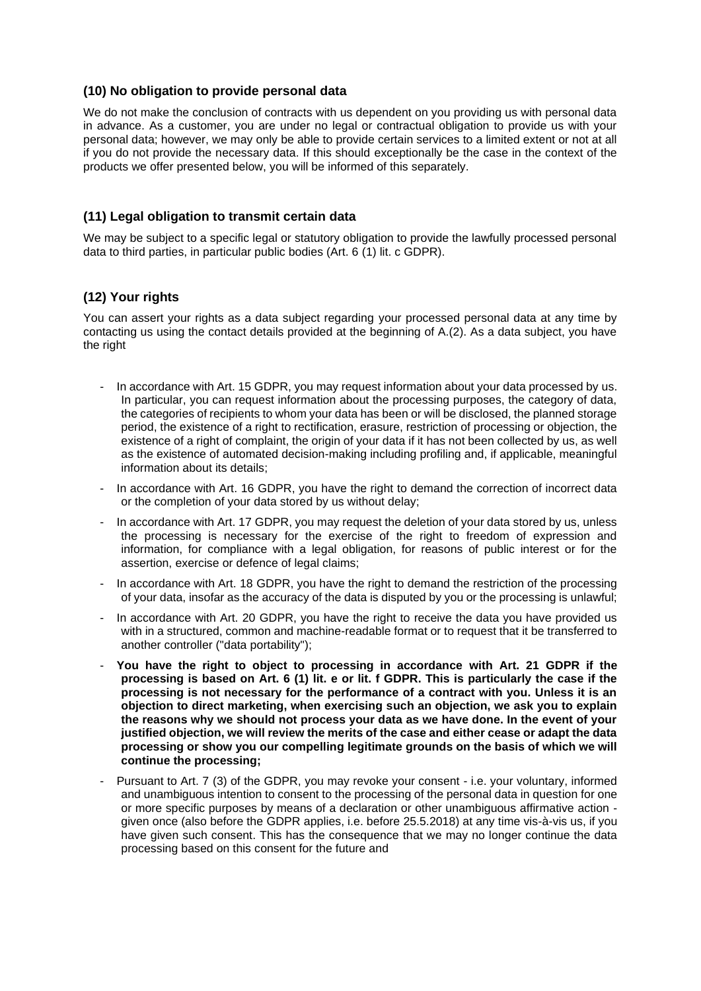## **(10) No obligation to provide personal data**

We do not make the conclusion of contracts with us dependent on you providing us with personal data in advance. As a customer, you are under no legal or contractual obligation to provide us with your personal data; however, we may only be able to provide certain services to a limited extent or not at all if you do not provide the necessary data. If this should exceptionally be the case in the context of the products we offer presented below, you will be informed of this separately.

## **(11) Legal obligation to transmit certain data**

We may be subject to a specific legal or statutory obligation to provide the lawfully processed personal data to third parties, in particular public bodies (Art. 6 (1) lit. c GDPR).

## **(12) Your rights**

You can assert your rights as a data subject regarding your processed personal data at any time by contacting us using the contact details provided at the beginning of A.(2). As a data subject, you have the right

- In accordance with Art. 15 GDPR, you may request information about your data processed by us. In particular, you can request information about the processing purposes, the category of data, the categories of recipients to whom your data has been or will be disclosed, the planned storage period, the existence of a right to rectification, erasure, restriction of processing or objection, the existence of a right of complaint, the origin of your data if it has not been collected by us, as well as the existence of automated decision-making including profiling and, if applicable, meaningful information about its details;
- In accordance with Art. 16 GDPR, you have the right to demand the correction of incorrect data or the completion of your data stored by us without delay;
- In accordance with Art. 17 GDPR, you may request the deletion of your data stored by us, unless the processing is necessary for the exercise of the right to freedom of expression and information, for compliance with a legal obligation, for reasons of public interest or for the assertion, exercise or defence of legal claims;
- In accordance with Art. 18 GDPR, you have the right to demand the restriction of the processing of your data, insofar as the accuracy of the data is disputed by you or the processing is unlawful;
- In accordance with Art. 20 GDPR, you have the right to receive the data you have provided us with in a structured, common and machine-readable format or to request that it be transferred to another controller ("data portability");
- **You have the right to object to processing in accordance with Art. 21 GDPR if the processing is based on Art. 6 (1) lit. e or lit. f GDPR. This is particularly the case if the processing is not necessary for the performance of a contract with you. Unless it is an objection to direct marketing, when exercising such an objection, we ask you to explain the reasons why we should not process your data as we have done. In the event of your justified objection, we will review the merits of the case and either cease or adapt the data processing or show you our compelling legitimate grounds on the basis of which we will continue the processing;**
- Pursuant to Art. 7 (3) of the GDPR, you may revoke your consent i.e. your voluntary, informed and unambiguous intention to consent to the processing of the personal data in question for one or more specific purposes by means of a declaration or other unambiguous affirmative action given once (also before the GDPR applies, i.e. before 25.5.2018) at any time vis-à-vis us, if you have given such consent. This has the consequence that we may no longer continue the data processing based on this consent for the future and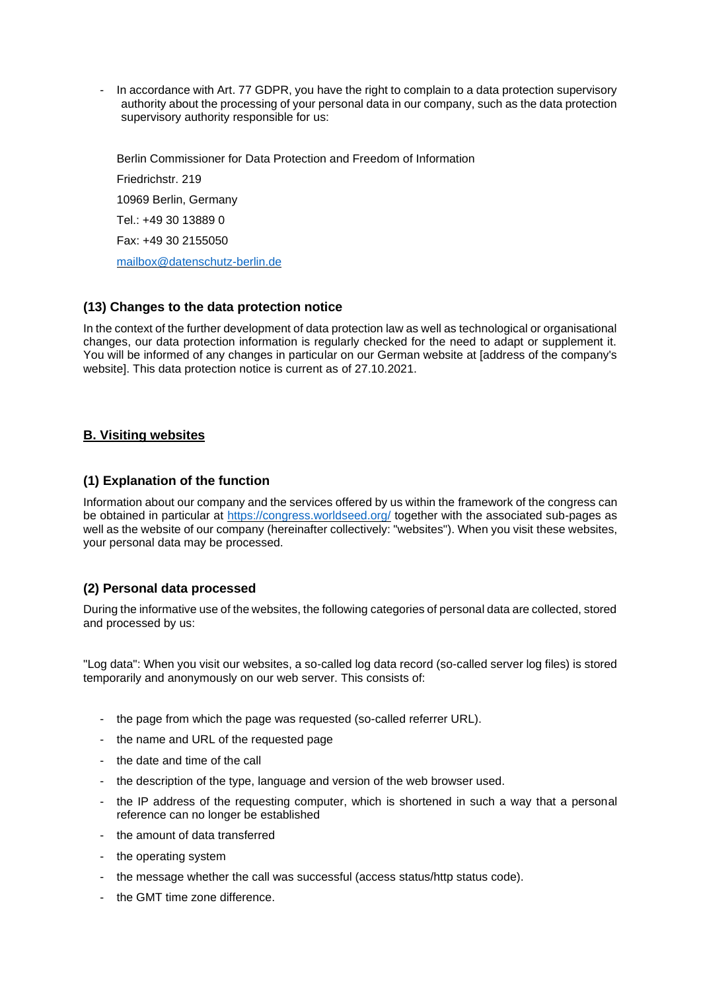In accordance with Art. 77 GDPR, you have the right to complain to a data protection supervisory authority about the processing of your personal data in our company, such as the data protection supervisory authority responsible for us:

Berlin Commissioner for Data Protection and Freedom of Information Friedrichstr. 219 10969 Berlin, Germany Tel.: +49 30 13889 0 Fax: +49 30 2155050 [mailbox@datenschutz-berlin.de](mailto:mailbox@datenschutz-berlin.de)

# **(13) Changes to the data protection notice**

In the context of the further development of data protection law as well as technological or organisational changes, our data protection information is regularly checked for the need to adapt or supplement it. You will be informed of any changes in particular on our German website at [address of the company's website]. This data protection notice is current as of 27.10.2021.

## **B. Visiting websites**

## **(1) Explanation of the function**

Information about our company and the services offered by us within the framework of the congress can be obtained in particular at<https://congress.worldseed.org/> together with the associated sub-pages as well as the website of our company (hereinafter collectively: "websites"). When you visit these websites, your personal data may be processed.

# **(2) Personal data processed**

During the informative use of the websites, the following categories of personal data are collected, stored and processed by us:

"Log data": When you visit our websites, a so-called log data record (so-called server log files) is stored temporarily and anonymously on our web server. This consists of:

- the page from which the page was requested (so-called referrer URL).
- the name and URL of the requested page
- the date and time of the call
- the description of the type, language and version of the web browser used.
- the IP address of the requesting computer, which is shortened in such a way that a personal reference can no longer be established
- the amount of data transferred
- the operating system
- the message whether the call was successful (access status/http status code).
- the GMT time zone difference.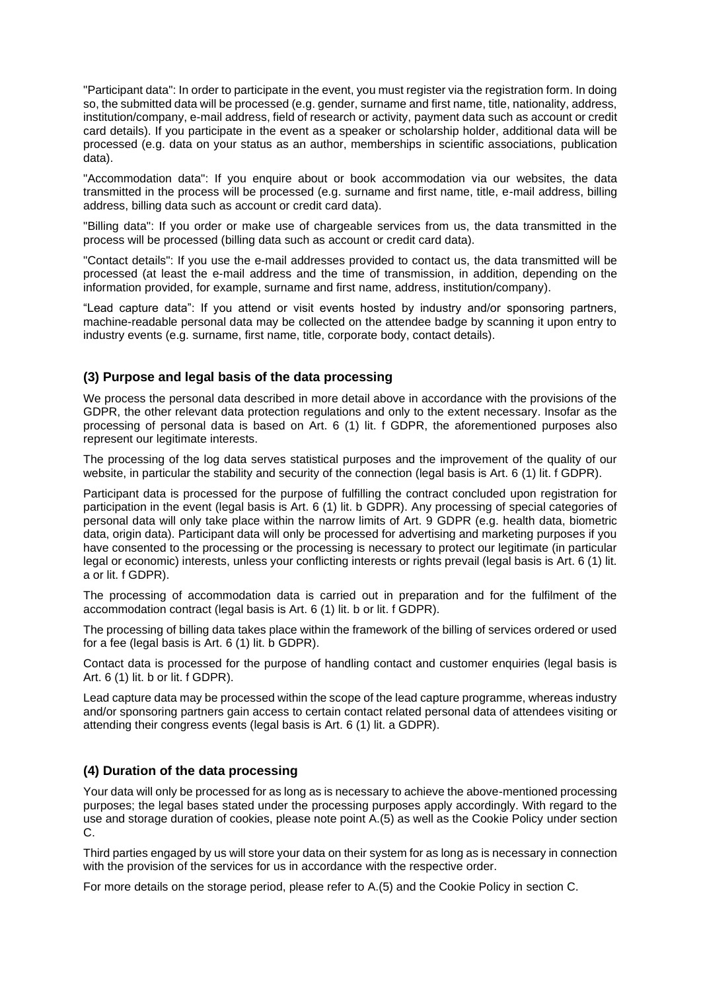"Participant data": In order to participate in the event, you must register via the registration form. In doing so, the submitted data will be processed (e.g. gender, surname and first name, title, nationality, address, institution/company, e-mail address, field of research or activity, payment data such as account or credit card details). If you participate in the event as a speaker or scholarship holder, additional data will be processed (e.g. data on your status as an author, memberships in scientific associations, publication data).

"Accommodation data": If you enquire about or book accommodation via our websites, the data transmitted in the process will be processed (e.g. surname and first name, title, e-mail address, billing address, billing data such as account or credit card data).

"Billing data": If you order or make use of chargeable services from us, the data transmitted in the process will be processed (billing data such as account or credit card data).

"Contact details": If you use the e-mail addresses provided to contact us, the data transmitted will be processed (at least the e-mail address and the time of transmission, in addition, depending on the information provided, for example, surname and first name, address, institution/company).

"Lead capture data": If you attend or visit events hosted by industry and/or sponsoring partners, machine-readable personal data may be collected on the attendee badge by scanning it upon entry to industry events (e.g. surname, first name, title, corporate body, contact details).

## **(3) Purpose and legal basis of the data processing**

We process the personal data described in more detail above in accordance with the provisions of the GDPR, the other relevant data protection regulations and only to the extent necessary. Insofar as the processing of personal data is based on Art. 6 (1) lit. f GDPR, the aforementioned purposes also represent our legitimate interests.

The processing of the log data serves statistical purposes and the improvement of the quality of our website, in particular the stability and security of the connection (legal basis is Art. 6 (1) lit. f GDPR).

Participant data is processed for the purpose of fulfilling the contract concluded upon registration for participation in the event (legal basis is Art. 6 (1) lit. b GDPR). Any processing of special categories of personal data will only take place within the narrow limits of Art. 9 GDPR (e.g. health data, biometric data, origin data). Participant data will only be processed for advertising and marketing purposes if you have consented to the processing or the processing is necessary to protect our legitimate (in particular legal or economic) interests, unless your conflicting interests or rights prevail (legal basis is Art. 6 (1) lit. a or lit. f GDPR).

The processing of accommodation data is carried out in preparation and for the fulfilment of the accommodation contract (legal basis is Art. 6 (1) lit. b or lit. f GDPR).

The processing of billing data takes place within the framework of the billing of services ordered or used for a fee (legal basis is Art. 6 (1) lit. b GDPR).

Contact data is processed for the purpose of handling contact and customer enquiries (legal basis is Art. 6 (1) lit. b or lit. f GDPR).

Lead capture data may be processed within the scope of the lead capture programme, whereas industry and/or sponsoring partners gain access to certain contact related personal data of attendees visiting or attending their congress events (legal basis is Art. 6 (1) lit. a GDPR).

# **(4) Duration of the data processing**

Your data will only be processed for as long as is necessary to achieve the above-mentioned processing purposes; the legal bases stated under the processing purposes apply accordingly. With regard to the use and storage duration of cookies, please note point A.(5) as well as the Cookie Policy under section C.

Third parties engaged by us will store your data on their system for as long as is necessary in connection with the provision of the services for us in accordance with the respective order.

For more details on the storage period, please refer to A.(5) and the Cookie Policy in section C.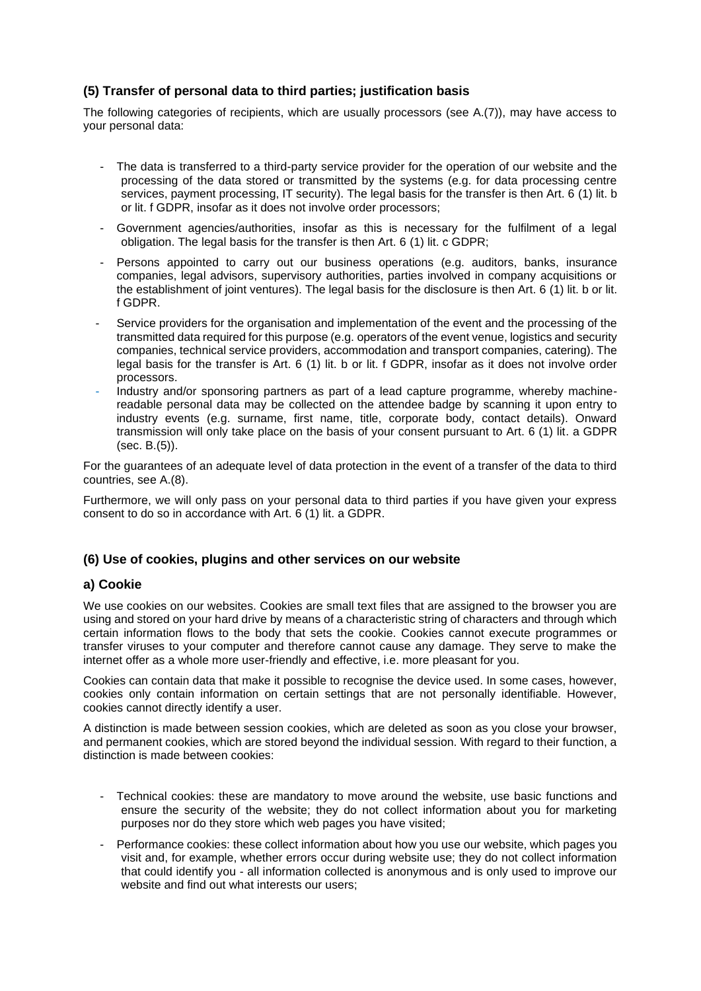# **(5) Transfer of personal data to third parties; justification basis**

The following categories of recipients, which are usually processors (see A.(7)), may have access to your personal data:

- The data is transferred to a third-party service provider for the operation of our website and the processing of the data stored or transmitted by the systems (e.g. for data processing centre services, payment processing, IT security). The legal basis for the transfer is then Art. 6 (1) lit. b or lit. f GDPR, insofar as it does not involve order processors;
- Government agencies/authorities, insofar as this is necessary for the fulfilment of a legal obligation. The legal basis for the transfer is then Art. 6 (1) lit. c GDPR;
- Persons appointed to carry out our business operations (e.g. auditors, banks, insurance companies, legal advisors, supervisory authorities, parties involved in company acquisitions or the establishment of joint ventures). The legal basis for the disclosure is then Art. 6 (1) lit. b or lit. f GDPR.
- Service providers for the organisation and implementation of the event and the processing of the transmitted data required for this purpose (e.g. operators of the event venue, logistics and security companies, technical service providers, accommodation and transport companies, catering). The legal basis for the transfer is Art. 6 (1) lit. b or lit. f GDPR, insofar as it does not involve order processors.
- Industry and/or sponsoring partners as part of a lead capture programme, whereby machinereadable personal data may be collected on the attendee badge by scanning it upon entry to industry events (e.g. surname, first name, title, corporate body, contact details). Onward transmission will only take place on the basis of your consent pursuant to Art. 6 (1) lit. a GDPR (sec. B.(5)).

For the guarantees of an adequate level of data protection in the event of a transfer of the data to third countries, see A.(8).

Furthermore, we will only pass on your personal data to third parties if you have given your express consent to do so in accordance with Art. 6 (1) lit. a GDPR.

### **(6) Use of cookies, plugins and other services on our website**

### **a) Cookie**

We use cookies on our websites. Cookies are small text files that are assigned to the browser you are using and stored on your hard drive by means of a characteristic string of characters and through which certain information flows to the body that sets the cookie. Cookies cannot execute programmes or transfer viruses to your computer and therefore cannot cause any damage. They serve to make the internet offer as a whole more user-friendly and effective, i.e. more pleasant for you.

Cookies can contain data that make it possible to recognise the device used. In some cases, however, cookies only contain information on certain settings that are not personally identifiable. However, cookies cannot directly identify a user.

A distinction is made between session cookies, which are deleted as soon as you close your browser, and permanent cookies, which are stored beyond the individual session. With regard to their function, a distinction is made between cookies:

- Technical cookies: these are mandatory to move around the website, use basic functions and ensure the security of the website; they do not collect information about you for marketing purposes nor do they store which web pages you have visited;
- Performance cookies: these collect information about how you use our website, which pages you visit and, for example, whether errors occur during website use; they do not collect information that could identify you - all information collected is anonymous and is only used to improve our website and find out what interests our users;